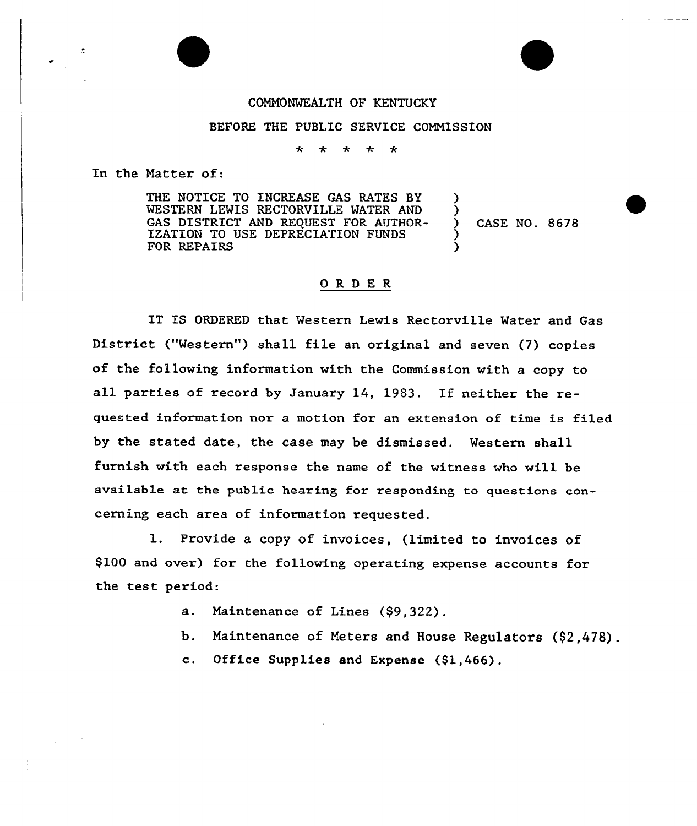## CONNONMEALTH OF KENTUCKY

## BEFORE THE PUBLIC SERUICE COMMISSION

 $\star$  $\star$ 

In the Natter of:

÷.

THE NOTICE TO INCREASE GAS RATES BY MESTERN LEMIS RECTORUILLE MATER AND GAS DISTRICT AND REQUEST FOR AUTHOR-IZATION TO USE DEPRECIATION FUNDS FOR REPAIRS

) ) CASE NO. 8678 ) )

## ORDER

IT IS ORDERED that Mestern Lewis Rectorville Mater and Gas District ("Mestern") shall file an original and seven (7) copies of the following information with the Commission with a copy to all parties of record by January 14, 1983. If neither the requested information nor a motion for an extension of time is filed by the stated date, the case may be dismissed. Western shall furnish with each response the name of the witness who will be available at the public hearing for responding to questions concerning each area of information requested.

l. Provide <sup>a</sup> copy of invoices, (limited to invoices of \$100 and over) for the following operating expense accounts for the test period:

- a. Maintenance of Lines (\$9,322).
- b. Maintenance of Meters and House Regulators (\$2,478).
- c. Office Supplies and Expense (\$1,466).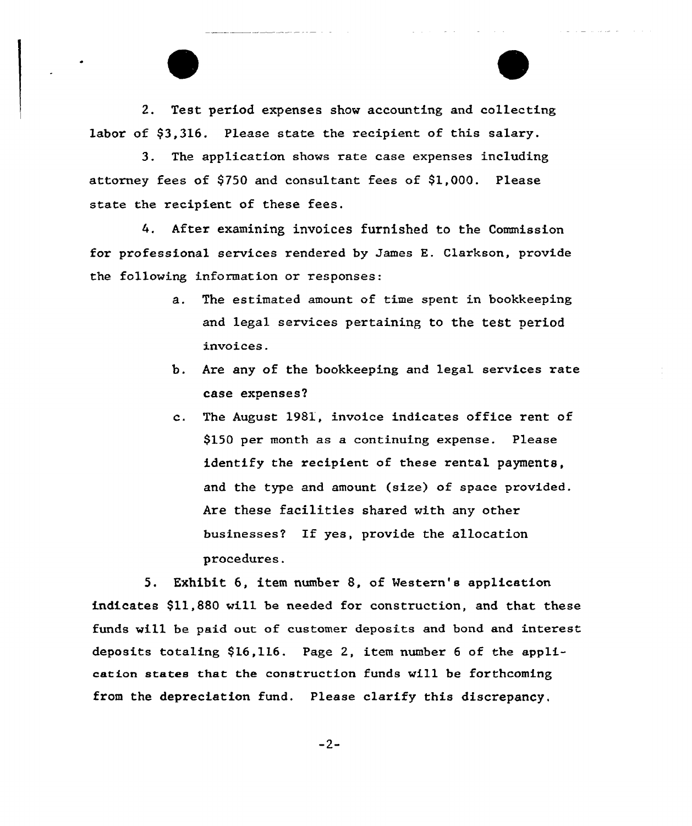2. Test period expenses show accounting and collecting labor of \$3.316. Please state the recipient of this salary.

3. The application shows rate case expenses including attorney fees of \$750 and consultant fees of \$1,000. Please state the recipient of these fees.

After examining invoices furnished to the Commission 4. for professional services rendered by James E. Clarkson, provide the following information or responses:

- a. The estimated amount of time spent in bookkeeping and legal services pertaining to the test period invoices.
- b. Are any of the bookkeeping and legal services rate case expenses'.
- The August 1981, invoice indicates office rent of  $c_{\rm A}$ \$150 per month as a continuing expense. Please identify the recipient of these rental payments, and the type and amount (size) of space provided. Are these facilities shared with any other businesses? If yes, provide the allocation procedures.

5. Exhibit 6, item number 8, of Western's application indicates \$11,880 will be needed for construction, and that these funds will be paid out of customer deposits and bond and interest deposits totaling  $$16,116$ . Page 2, item number 6 of the application states that the construction funds will be forthcoming from the depreciation fund. Please clarify this discrepancy,

 $-2-$